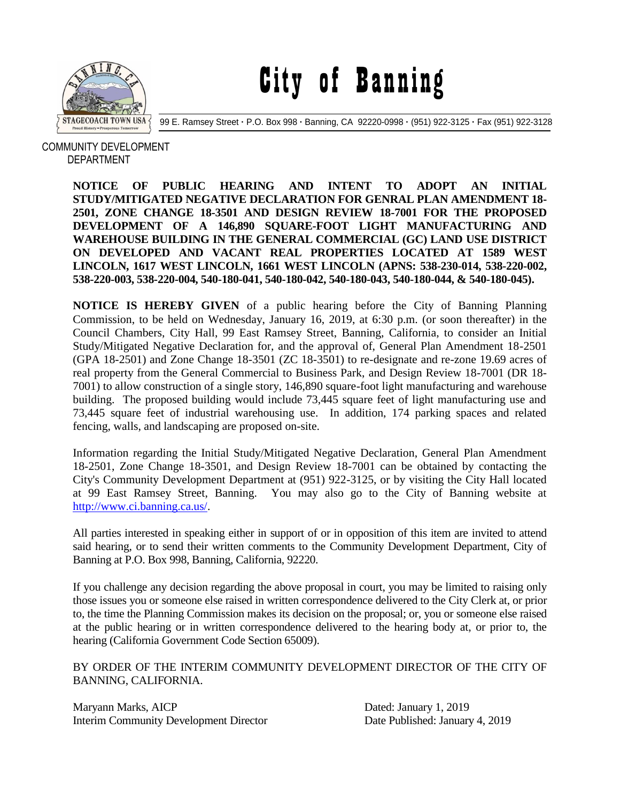

City of Banning

99 E. Ramsey Street **·** P.O. Box 998 **·** Banning, CA 92220-0998 **·** (951) 922-3125 **·** Fax (951) 922-3128

## COMMUNITY DEVELOPMENT DEPARTMENT

**NOTICE OF PUBLIC HEARING AND INTENT TO ADOPT AN INITIAL STUDY/MITIGATED NEGATIVE DECLARATION FOR GENRAL PLAN AMENDMENT 18- 2501, ZONE CHANGE 18-3501 AND DESIGN REVIEW 18-7001 FOR THE PROPOSED DEVELOPMENT OF A 146,890 SQUARE-FOOT LIGHT MANUFACTURING AND WAREHOUSE BUILDING IN THE GENERAL COMMERCIAL (GC) LAND USE DISTRICT ON DEVELOPED AND VACANT REAL PROPERTIES LOCATED AT 1589 WEST LINCOLN, 1617 WEST LINCOLN, 1661 WEST LINCOLN (APNS: 538-230-014, 538-220-002, 538-220-003, 538-220-004, 540-180-041, 540-180-042, 540-180-043, 540-180-044, & 540-180-045).**

**NOTICE IS HEREBY GIVEN** of a public hearing before the City of Banning Planning Commission, to be held on Wednesday, January 16, 2019, at 6:30 p.m. (or soon thereafter) in the Council Chambers, City Hall, 99 East Ramsey Street, Banning, California, to consider an Initial Study/Mitigated Negative Declaration for, and the approval of, General Plan Amendment 18-2501 (GPA 18-2501) and Zone Change 18-3501 (ZC 18-3501) to re-designate and re-zone 19.69 acres of real property from the General Commercial to Business Park, and Design Review 18-7001 (DR 18- 7001) to allow construction of a single story, 146,890 square-foot light manufacturing and warehouse building. The proposed building would include 73,445 square feet of light manufacturing use and 73,445 square feet of industrial warehousing use. In addition, 174 parking spaces and related fencing, walls, and landscaping are proposed on-site.

Information regarding the Initial Study/Mitigated Negative Declaration, General Plan Amendment 18-2501, Zone Change 18-3501, and Design Review 18-7001 can be obtained by contacting the City's Community Development Department at (951) 922-3125, or by visiting the City Hall located at 99 East Ramsey Street, Banning. You may also go to the City of Banning website at [http://www.ci.banning.ca.us/.](http://www.ci.banning.ca.us/)

All parties interested in speaking either in support of or in opposition of this item are invited to attend said hearing, or to send their written comments to the Community Development Department, City of Banning at P.O. Box 998, Banning, California, 92220.

If you challenge any decision regarding the above proposal in court, you may be limited to raising only those issues you or someone else raised in written correspondence delivered to the City Clerk at, or prior to, the time the Planning Commission makes its decision on the proposal; or, you or someone else raised at the public hearing or in written correspondence delivered to the hearing body at, or prior to, the hearing (California Government Code Section 65009).

BY ORDER OF THE INTERIM COMMUNITY DEVELOPMENT DIRECTOR OF THE CITY OF BANNING, CALIFORNIA.

Maryann Marks, AICP Dated: January 1, 2019 Interim Community Development Director Date Published: January 4, 2019